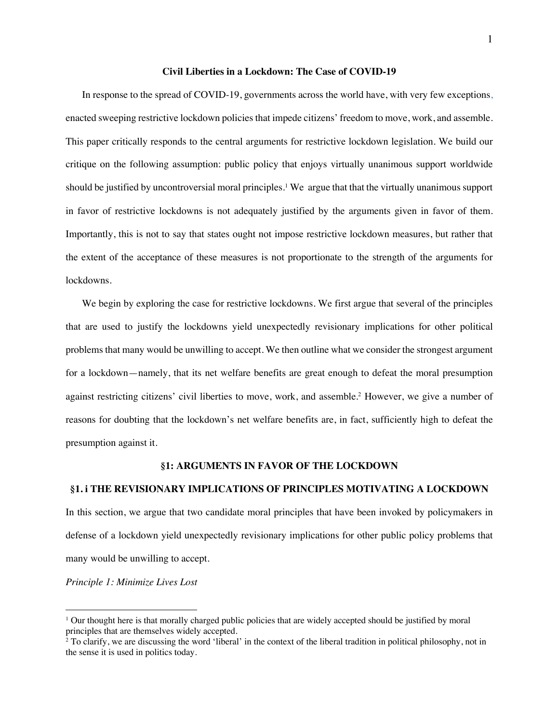### **Civil Liberties in a Lockdown: The Case of COVID-19**

In response to the spread of COVID-19, governments across the world have, with very few exceptions, enacted sweeping restrictive lockdown policies that impede citizens' freedom to move, work, and assemble. This paper critically responds to the central arguments for restrictive lockdown legislation. We build our critique on the following assumption: public policy that enjoys virtually unanimous support worldwide should be justified by uncontroversial moral principles.<sup>1</sup> We argue that that the virtually unanimous support in favor of restrictive lockdowns is not adequately justified by the arguments given in favor of them. Importantly, this is not to say that states ought not impose restrictive lockdown measures, but rather that the extent of the acceptance of these measures is not proportionate to the strength of the arguments for lockdowns.

We begin by exploring the case for restrictive lockdowns. We first argue that several of the principles that are used to justify the lockdowns yield unexpectedly revisionary implications for other political problems that many would be unwilling to accept. We then outline what we consider the strongest argument for a lockdown—namely, that its net welfare benefits are great enough to defeat the moral presumption against restricting citizens' civil liberties to move, work, and assemble. <sup>2</sup> However, we give a number of reasons for doubting that the lockdown's net welfare benefits are, in fact, sufficiently high to defeat the presumption against it.

### **§1: ARGUMENTS IN FAVOR OF THE LOCKDOWN**

### **§1. i THE REVISIONARY IMPLICATIONS OF PRINCIPLES MOTIVATING A LOCKDOWN**

In this section, we argue that two candidate moral principles that have been invoked by policymakers in defense of a lockdown yield unexpectedly revisionary implications for other public policy problems that many would be unwilling to accept.

*Principle 1: Minimize Lives Lost*

<sup>1</sup> Our thought here is that morally charged public policies that are widely accepted should be justified by moral principles that are themselves widely accepted.

<sup>&</sup>lt;sup>2</sup> To clarify, we are discussing the word 'liberal' in the context of the liberal tradition in political philosophy, not in the sense it is used in politics today.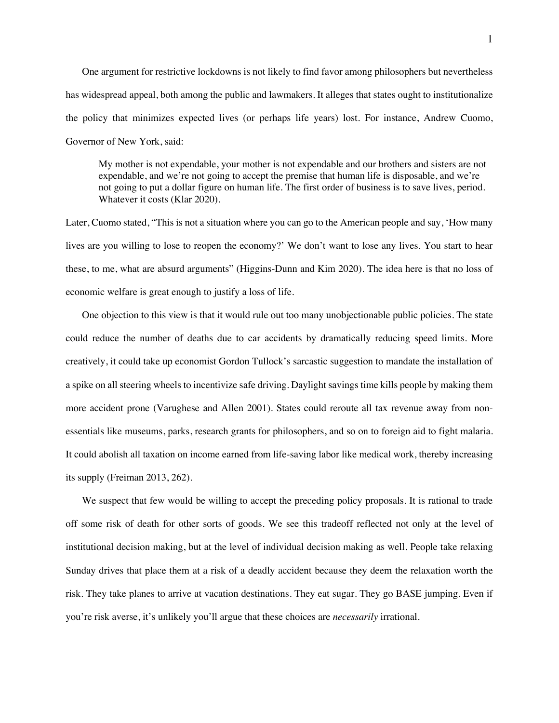One argument for restrictive lockdowns is not likely to find favor among philosophers but nevertheless has widespread appeal, both among the public and lawmakers. It alleges that states ought to institutionalize the policy that minimizes expected lives (or perhaps life years) lost. For instance, Andrew Cuomo, Governor of New York, said:

My mother is not expendable, your mother is not expendable and our brothers and sisters are not expendable, and we're not going to accept the premise that human life is disposable, and we're not going to put a dollar figure on human life. The first order of business is to save lives, period. Whatever it costs (Klar 2020).

Later, Cuomo stated, "This is not a situation where you can go to the American people and say, 'How many lives are you willing to lose to reopen the economy?' We don't want to lose any lives. You start to hear these, to me, what are absurd arguments" (Higgins-Dunn and Kim 2020). The idea here is that no loss of economic welfare is great enough to justify a loss of life.

One objection to this view is that it would rule out too many unobjectionable public policies. The state could reduce the number of deaths due to car accidents by dramatically reducing speed limits. More creatively, it could take up economist Gordon Tullock's sarcastic suggestion to mandate the installation of a spike on all steering wheels to incentivize safe driving. Daylight savings time kills people by making them more accident prone (Varughese and Allen 2001). States could reroute all tax revenue away from nonessentials like museums, parks, research grants for philosophers, and so on to foreign aid to fight malaria. It could abolish all taxation on income earned from life-saving labor like medical work, thereby increasing its supply (Freiman 2013, 262).

We suspect that few would be willing to accept the preceding policy proposals. It is rational to trade off some risk of death for other sorts of goods. We see this tradeoff reflected not only at the level of institutional decision making, but at the level of individual decision making as well. People take relaxing Sunday drives that place them at a risk of a deadly accident because they deem the relaxation worth the risk. They take planes to arrive at vacation destinations. They eat sugar. They go BASE jumping. Even if you're risk averse, it's unlikely you'll argue that these choices are *necessarily* irrational.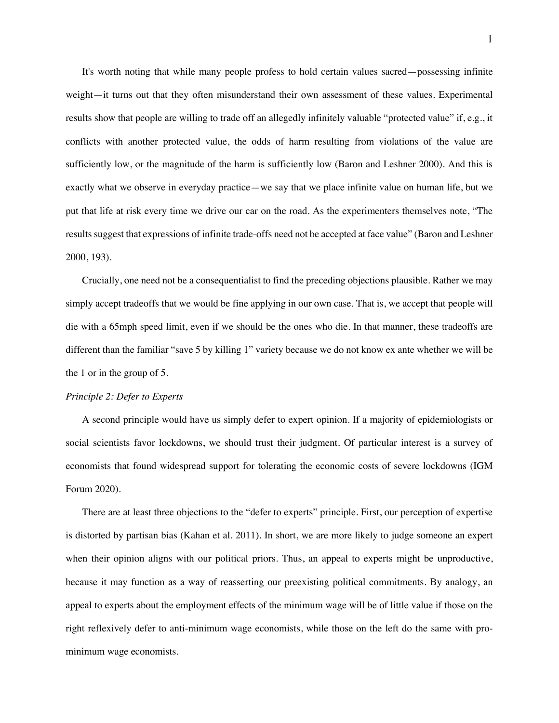It's worth noting that while many people profess to hold certain values sacred—possessing infinite weight—it turns out that they often misunderstand their own assessment of these values. Experimental results show that people are willing to trade off an allegedly infinitely valuable "protected value" if, e.g., it conflicts with another protected value, the odds of harm resulting from violations of the value are sufficiently low, or the magnitude of the harm is sufficiently low (Baron and Leshner 2000). And this is exactly what we observe in everyday practice—we say that we place infinite value on human life, but we put that life at risk every time we drive our car on the road. As the experimenters themselves note, "The results suggest that expressions of infinite trade-offs need not be accepted at face value" (Baron and Leshner 2000, 193).

Crucially, one need not be a consequentialist to find the preceding objections plausible. Rather we may simply accept tradeoffs that we would be fine applying in our own case. That is, we accept that people will die with a 65mph speed limit, even if we should be the ones who die. In that manner, these tradeoffs are different than the familiar "save 5 by killing 1" variety because we do not know ex ante whether we will be the 1 or in the group of 5.

### *Principle 2: Defer to Experts*

A second principle would have us simply defer to expert opinion. If a majority of epidemiologists or social scientists favor lockdowns, we should trust their judgment. Of particular interest is a survey of economists that found widespread support for tolerating the economic costs of severe lockdowns (IGM Forum 2020).

There are at least three objections to the "defer to experts" principle. First, our perception of expertise is distorted by partisan bias (Kahan et al. 2011). In short, we are more likely to judge someone an expert when their opinion aligns with our political priors. Thus, an appeal to experts might be unproductive, because it may function as a way of reasserting our preexisting political commitments. By analogy, an appeal to experts about the employment effects of the minimum wage will be of little value if those on the right reflexively defer to anti-minimum wage economists, while those on the left do the same with prominimum wage economists.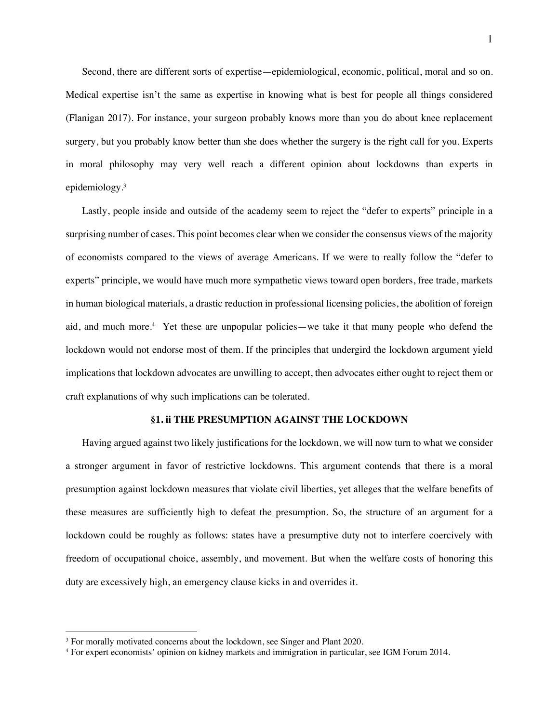Second, there are different sorts of expertise—epidemiological, economic, political, moral and so on. Medical expertise isn't the same as expertise in knowing what is best for people all things considered (Flanigan 2017). For instance, your surgeon probably knows more than you do about knee replacement surgery, but you probably know better than she does whether the surgery is the right call for you. Experts in moral philosophy may very well reach a different opinion about lockdowns than experts in epidemiology.3

Lastly, people inside and outside of the academy seem to reject the "defer to experts" principle in a surprising number of cases. This point becomes clear when we consider the consensus views of the majority of economists compared to the views of average Americans. If we were to really follow the "defer to experts" principle, we would have much more sympathetic views toward open borders, free trade, markets in human biological materials, a drastic reduction in professional licensing policies, the abolition of foreign aid, and much more.<sup>4</sup> Yet these are unpopular policies—we take it that many people who defend the lockdown would not endorse most of them. If the principles that undergird the lockdown argument yield implications that lockdown advocates are unwilling to accept, then advocates either ought to reject them or craft explanations of why such implications can be tolerated.

### **§1. ii THE PRESUMPTION AGAINST THE LOCKDOWN**

Having argued against two likely justifications for the lockdown, we will now turn to what we consider a stronger argument in favor of restrictive lockdowns. This argument contends that there is a moral presumption against lockdown measures that violate civil liberties, yet alleges that the welfare benefits of these measures are sufficiently high to defeat the presumption. So, the structure of an argument for a lockdown could be roughly as follows: states have a presumptive duty not to interfere coercively with freedom of occupational choice, assembly, and movement. But when the welfare costs of honoring this duty are excessively high, an emergency clause kicks in and overrides it.

<sup>&</sup>lt;sup>3</sup> For morally motivated concerns about the lockdown, see Singer and Plant 2020.

<sup>4</sup> For expert economists' opinion on kidney markets and immigration in particular, see IGM Forum 2014.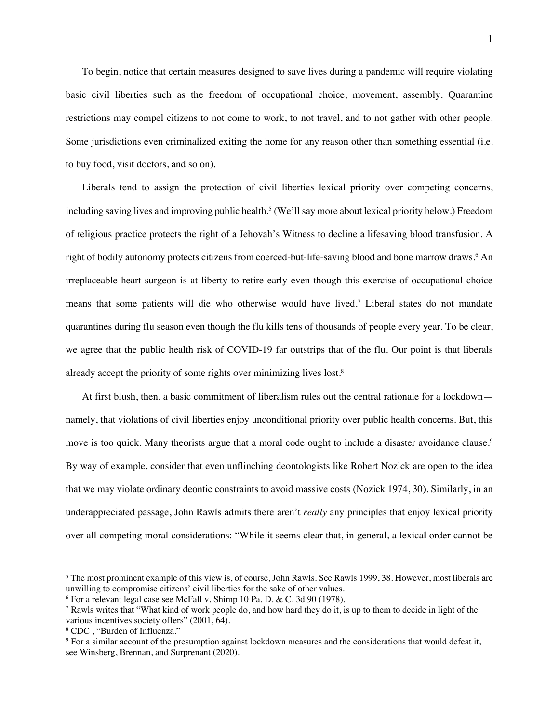To begin, notice that certain measures designed to save lives during a pandemic will require violating basic civil liberties such as the freedom of occupational choice, movement, assembly. Quarantine restrictions may compel citizens to not come to work, to not travel, and to not gather with other people. Some jurisdictions even criminalized exiting the home for any reason other than something essential (i.e. to buy food, visit doctors, and so on).

Liberals tend to assign the protection of civil liberties lexical priority over competing concerns, including saving lives and improving public health.<sup>5</sup> (We'll say more about lexical priority below.) Freedom of religious practice protects the right of a Jehovah's Witness to decline a lifesaving blood transfusion. A right of bodily autonomy protects citizens from coerced-but-life-saving blood and bone marrow draws.<sup>6</sup> An irreplaceable heart surgeon is at liberty to retire early even though this exercise of occupational choice means that some patients will die who otherwise would have lived.7 Liberal states do not mandate quarantines during flu season even though the flu kills tens of thousands of people every year. To be clear, we agree that the public health risk of COVID-19 far outstrips that of the flu. Our point is that liberals already accept the priority of some rights over minimizing lives lost.8

At first blush, then, a basic commitment of liberalism rules out the central rationale for a lockdown namely, that violations of civil liberties enjoy unconditional priority over public health concerns. But, this move is too quick. Many theorists argue that a moral code ought to include a disaster avoidance clause.<sup>9</sup> By way of example, consider that even unflinching deontologists like Robert Nozick are open to the idea that we may violate ordinary deontic constraints to avoid massive costs (Nozick 1974, 30). Similarly, in an underappreciated passage, John Rawls admits there aren't *really* any principles that enjoy lexical priority over all competing moral considerations: "While it seems clear that, in general, a lexical order cannot be

<sup>&</sup>lt;sup>5</sup> The most prominent example of this view is, of course, John Rawls. See Rawls 1999, 38. However, most liberals are unwilling to compromise citizens' civil liberties for the sake of other values.

<sup>6</sup> For a relevant legal case see McFall v. Shimp 10 Pa. D. & C. 3d 90 (1978).

<sup>7</sup> Rawls writes that "What kind of work people do, and how hard they do it, is up to them to decide in light of the various incentives society offers" (2001, 64).<br><sup>8</sup> CDC, "Burden of Influenza."

<sup>9</sup> For a similar account of the presumption against lockdown measures and the considerations that would defeat it, see Winsberg, Brennan, and Surprenant (2020).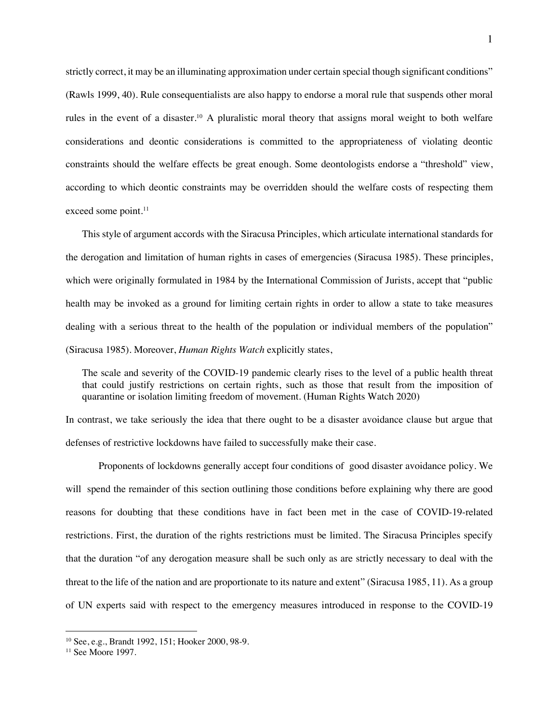strictly correct, it may be an illuminating approximation under certain special though significant conditions" (Rawls 1999, 40). Rule consequentialists are also happy to endorse a moral rule that suspends other moral rules in the event of a disaster.10 A pluralistic moral theory that assigns moral weight to both welfare considerations and deontic considerations is committed to the appropriateness of violating deontic constraints should the welfare effects be great enough. Some deontologists endorse a "threshold" view, according to which deontic constraints may be overridden should the welfare costs of respecting them exceed some point.<sup>11</sup>

This style of argument accords with the Siracusa Principles, which articulate international standards for the derogation and limitation of human rights in cases of emergencies (Siracusa 1985). These principles, which were originally formulated in 1984 by the International Commission of Jurists, accept that "public health may be invoked as a ground for limiting certain rights in order to allow a state to take measures dealing with a serious threat to the health of the population or individual members of the population" (Siracusa 1985). Moreover, *Human Rights Watch* explicitly states,

The scale and severity of the COVID-19 pandemic clearly rises to the level of a public health threat that could justify restrictions on certain rights, such as those that result from the imposition of quarantine or isolation limiting freedom of movement. (Human Rights Watch 2020)

In contrast, we take seriously the idea that there ought to be a disaster avoidance clause but argue that defenses of restrictive lockdowns have failed to successfully make their case.

Proponents of lockdowns generally accept four conditions of good disaster avoidance policy. We will spend the remainder of this section outlining those conditions before explaining why there are good reasons for doubting that these conditions have in fact been met in the case of COVID-19-related restrictions. First, the duration of the rights restrictions must be limited. The Siracusa Principles specify that the duration "of any derogation measure shall be such only as are strictly necessary to deal with the threat to the life of the nation and are proportionate to its nature and extent" (Siracusa 1985, 11). As a group of UN experts said with respect to the emergency measures introduced in response to the COVID-19

<sup>10</sup> See, e.g., Brandt 1992, 151; Hooker 2000, 98-9.

<sup>&</sup>lt;sup>11</sup> See Moore 1997.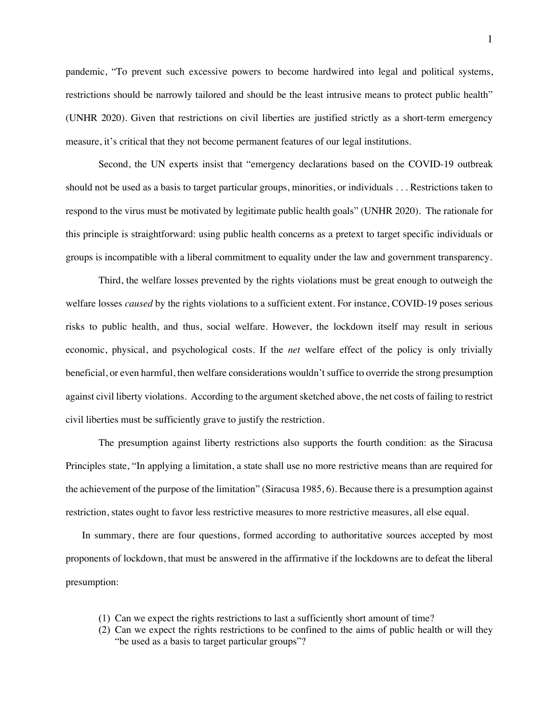pandemic, "To prevent such excessive powers to become hardwired into legal and political systems, restrictions should be narrowly tailored and should be the least intrusive means to protect public health" (UNHR 2020). Given that restrictions on civil liberties are justified strictly as a short-term emergency measure, it's critical that they not become permanent features of our legal institutions.

Second, the UN experts insist that "emergency declarations based on the COVID-19 outbreak should not be used as a basis to target particular groups, minorities, or individuals . . . Restrictions taken to respond to the virus must be motivated by legitimate public health goals" (UNHR 2020). The rationale for this principle is straightforward: using public health concerns as a pretext to target specific individuals or groups is incompatible with a liberal commitment to equality under the law and government transparency.

Third, the welfare losses prevented by the rights violations must be great enough to outweigh the welfare losses *caused* by the rights violations to a sufficient extent. For instance, COVID-19 poses serious risks to public health, and thus, social welfare. However, the lockdown itself may result in serious economic, physical, and psychological costs. If the *net* welfare effect of the policy is only trivially beneficial, or even harmful, then welfare considerations wouldn't suffice to override the strong presumption against civil liberty violations. According to the argument sketched above, the net costs of failing to restrict civil liberties must be sufficiently grave to justify the restriction.

The presumption against liberty restrictions also supports the fourth condition: as the Siracusa Principles state, "In applying a limitation, a state shall use no more restrictive means than are required for the achievement of the purpose of the limitation" (Siracusa 1985, 6). Because there is a presumption against restriction, states ought to favor less restrictive measures to more restrictive measures, all else equal.

In summary, there are four questions, formed according to authoritative sources accepted by most proponents of lockdown, that must be answered in the affirmative if the lockdowns are to defeat the liberal presumption:

- (1) Can we expect the rights restrictions to last a sufficiently short amount of time?
- (2) Can we expect the rights restrictions to be confined to the aims of public health or will they "be used as a basis to target particular groups"?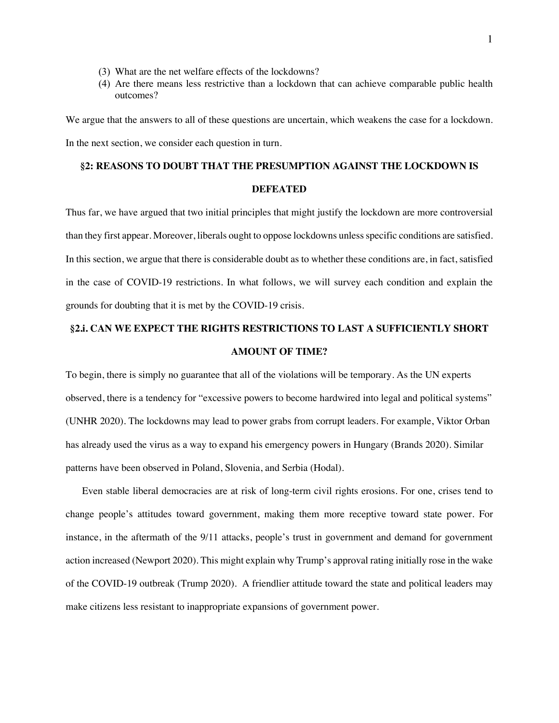- (3) What are the net welfare effects of the lockdowns?
- (4) Are there means less restrictive than a lockdown that can achieve comparable public health outcomes?

We argue that the answers to all of these questions are uncertain, which weakens the case for a lockdown. In the next section, we consider each question in turn.

### **§2: REASONS TO DOUBT THAT THE PRESUMPTION AGAINST THE LOCKDOWN IS**

### **DEFEATED**

Thus far, we have argued that two initial principles that might justify the lockdown are more controversial than they first appear. Moreover, liberals ought to oppose lockdowns unless specific conditions are satisfied. In this section, we argue that there is considerable doubt as to whether these conditions are, in fact, satisfied in the case of COVID-19 restrictions. In what follows, we will survey each condition and explain the grounds for doubting that it is met by the COVID-19 crisis.

## **§2.i. CAN WE EXPECT THE RIGHTS RESTRICTIONS TO LAST A SUFFICIENTLY SHORT AMOUNT OF TIME?**

To begin, there is simply no guarantee that all of the violations will be temporary. As the UN experts observed, there is a tendency for "excessive powers to become hardwired into legal and political systems" (UNHR 2020). The lockdowns may lead to power grabs from corrupt leaders. For example, Viktor Orban has already used the virus as a way to expand his emergency powers in Hungary (Brands 2020). Similar patterns have been observed in Poland, Slovenia, and Serbia (Hodal).

Even stable liberal democracies are at risk of long-term civil rights erosions. For one, crises tend to change people's attitudes toward government, making them more receptive toward state power. For instance, in the aftermath of the 9/11 attacks, people's trust in government and demand for government action increased (Newport 2020). This might explain why Trump's approval rating initially rose in the wake of the COVID-19 outbreak (Trump 2020). A friendlier attitude toward the state and political leaders may make citizens less resistant to inappropriate expansions of government power.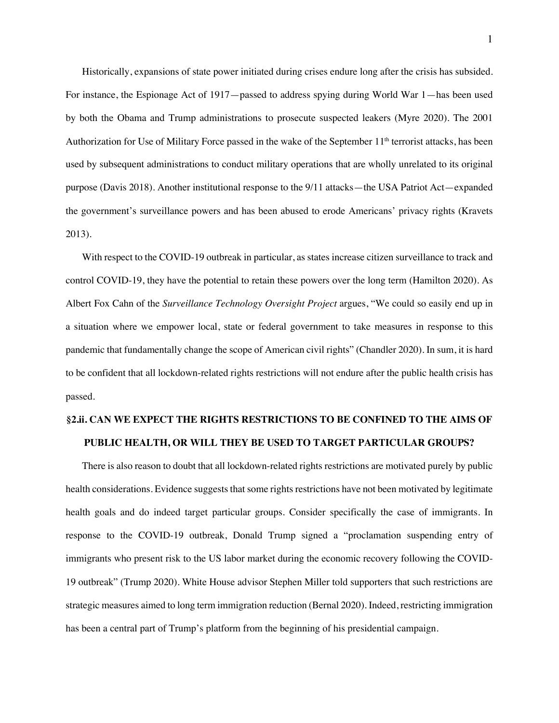Historically, expansions of state power initiated during crises endure long after the crisis has subsided. For instance, the Espionage Act of 1917—passed to address spying during World War 1—has been used by both the Obama and Trump administrations to prosecute suspected leakers (Myre 2020). The 2001 Authorization for Use of Military Force passed in the wake of the September  $11<sup>th</sup>$  terrorist attacks, has been used by subsequent administrations to conduct military operations that are wholly unrelated to its original purpose (Davis 2018). Another institutional response to the 9/11 attacks—the USA Patriot Act—expanded the government's surveillance powers and has been abused to erode Americans' privacy rights (Kravets 2013).

With respect to the COVID-19 outbreak in particular, as states increase citizen surveillance to track and control COVID-19, they have the potential to retain these powers over the long term (Hamilton 2020). As Albert Fox Cahn of the *Surveillance Technology Oversight Project* argues, "We could so easily end up in a situation where we empower local, state or federal government to take measures in response to this pandemic that fundamentally change the scope of American civil rights" (Chandler 2020). In sum, it is hard to be confident that all lockdown-related rights restrictions will not endure after the public health crisis has passed.

# **§2.ii. CAN WE EXPECT THE RIGHTS RESTRICTIONS TO BE CONFINED TO THE AIMS OF PUBLIC HEALTH, OR WILL THEY BE USED TO TARGET PARTICULAR GROUPS?**

There is also reason to doubt that all lockdown-related rights restrictions are motivated purely by public health considerations. Evidence suggests that some rights restrictions have not been motivated by legitimate health goals and do indeed target particular groups. Consider specifically the case of immigrants. In response to the COVID-19 outbreak, Donald Trump signed a "proclamation suspending entry of immigrants who present risk to the US labor market during the economic recovery following the COVID-19 outbreak" (Trump 2020). White House advisor Stephen Miller told supporters that such restrictions are strategic measures aimed to long term immigration reduction (Bernal 2020). Indeed, restricting immigration has been a central part of Trump's platform from the beginning of his presidential campaign.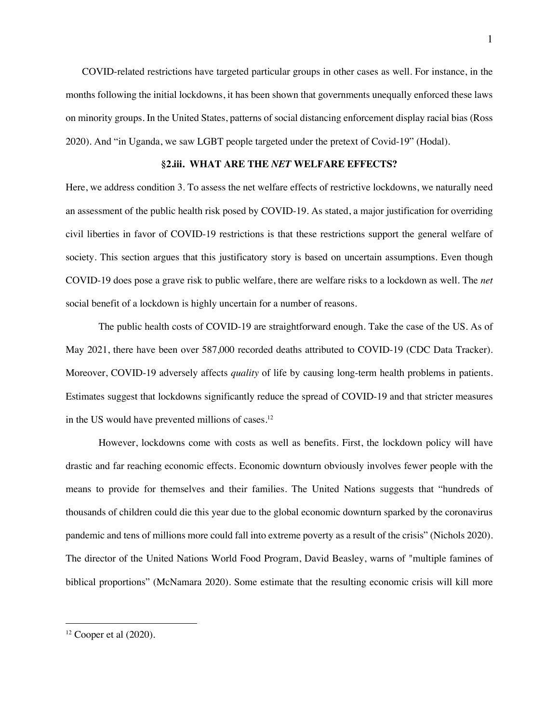COVID-related restrictions have targeted particular groups in other cases as well. For instance, in the months following the initial lockdowns, it has been shown that governments unequally enforced these laws on minority groups. In the United States, patterns of social distancing enforcement display racial bias (Ross 2020). And "in Uganda, we saw LGBT people targeted under the pretext of Covid-19" (Hodal).

### **§2.iii. WHAT ARE THE** *NET* **WELFARE EFFECTS?**

Here, we address condition 3. To assess the net welfare effects of restrictive lockdowns, we naturally need an assessment of the public health risk posed by COVID-19. As stated, a major justification for overriding civil liberties in favor of COVID-19 restrictions is that these restrictions support the general welfare of society. This section argues that this justificatory story is based on uncertain assumptions. Even though COVID-19 does pose a grave risk to public welfare, there are welfare risks to a lockdown as well. The *net*  social benefit of a lockdown is highly uncertain for a number of reasons.

The public health costs of COVID-19 are straightforward enough. Take the case of the US. As of May 2021, there have been over 587,000 recorded deaths attributed to COVID-19 (CDC Data Tracker). Moreover, COVID-19 adversely affects *quality* of life by causing long-term health problems in patients. Estimates suggest that lockdowns significantly reduce the spread of COVID-19 and that stricter measures in the US would have prevented millions of cases.12

However, lockdowns come with costs as well as benefits. First, the lockdown policy will have drastic and far reaching economic effects. Economic downturn obviously involves fewer people with the means to provide for themselves and their families. The United Nations suggests that "hundreds of thousands of children could die this year due to the global economic downturn sparked by the coronavirus pandemic and tens of millions more could fall into extreme poverty as a result of the crisis" (Nichols 2020). The director of the United Nations World Food Program, David Beasley, warns of "multiple famines of biblical proportions" (McNamara 2020). Some estimate that the resulting economic crisis will kill more

 $12$  Cooper et al  $(2020)$ .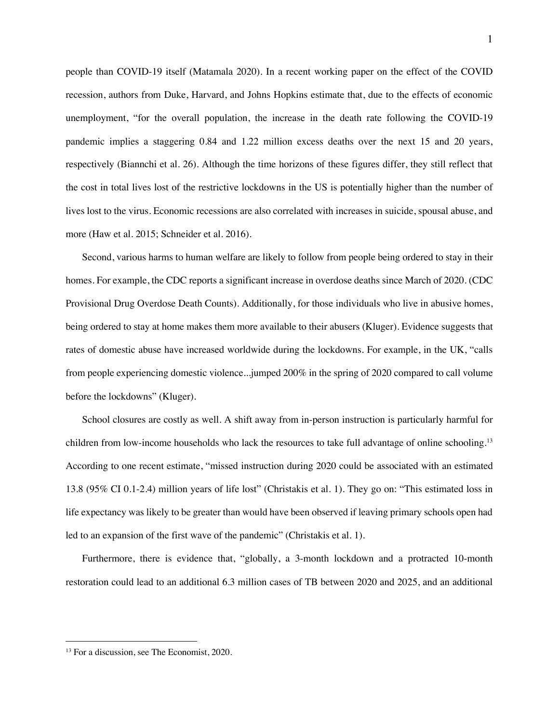people than COVID-19 itself (Matamala 2020). In a recent working paper on the effect of the COVID recession, authors from Duke, Harvard, and Johns Hopkins estimate that, due to the effects of economic unemployment, "for the overall population, the increase in the death rate following the COVID-19 pandemic implies a staggering 0.84 and 1.22 million excess deaths over the next 15 and 20 years, respectively (Biannchi et al. 26). Although the time horizons of these figures differ, they still reflect that the cost in total lives lost of the restrictive lockdowns in the US is potentially higher than the number of lives lost to the virus. Economic recessions are also correlated with increases in suicide, spousal abuse, and more (Haw et al. 2015; Schneider et al. 2016).

Second, various harms to human welfare are likely to follow from people being ordered to stay in their homes. For example, the CDC reports a significant increase in overdose deaths since March of 2020. (CDC Provisional Drug Overdose Death Counts). Additionally, for those individuals who live in abusive homes, being ordered to stay at home makes them more available to their abusers (Kluger). Evidence suggests that rates of domestic abuse have increased worldwide during the lockdowns. For example, in the UK, "calls from people experiencing domestic violence...jumped 200% in the spring of 2020 compared to call volume before the lockdowns" (Kluger).

School closures are costly as well. A shift away from in-person instruction is particularly harmful for children from low-income households who lack the resources to take full advantage of online schooling.<sup>13</sup> According to one recent estimate, "missed instruction during 2020 could be associated with an estimated 13.8 (95% CI 0.1-2.4) million years of life lost" (Christakis et al. 1). They go on: "This estimated loss in life expectancy was likely to be greater than would have been observed if leaving primary schools open had led to an expansion of the first wave of the pandemic" (Christakis et al. 1).

Furthermore, there is evidence that, "globally, a 3-month lockdown and a protracted 10-month restoration could lead to an additional 6.3 million cases of TB between 2020 and 2025, and an additional

<sup>&</sup>lt;sup>13</sup> For a discussion, see The Economist, 2020.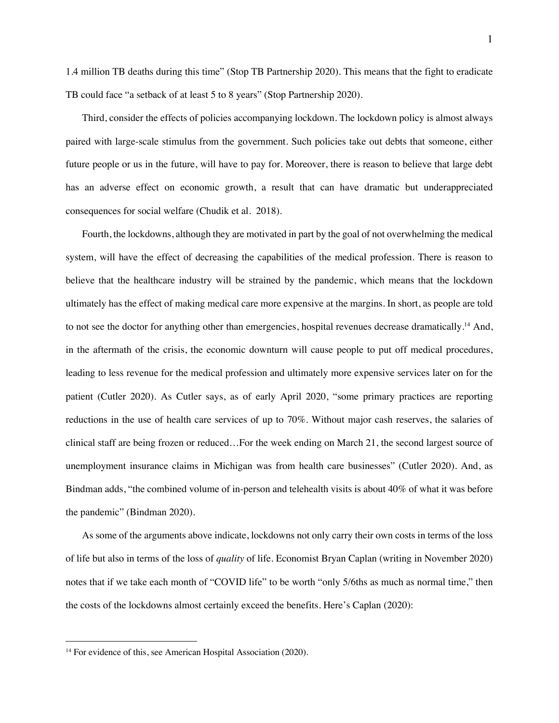1.4 million TB deaths during this time" (Stop TB Partnership 2020). This means that the fight to eradicate TB could face "a setback of at least 5 to 8 years" (Stop Partnership 2020).

Third, consider the effects of policies accompanying lockdown. The lockdown policy is almost always paired with large-scale stimulus from the government. Such policies take out debts that someone, either future people or us in the future, will have to pay for. Moreover, there is reason to believe that large debt has an adverse effect on economic growth, a result that can have dramatic but underappreciated consequences for social welfare (Chudik et al. 2018).

Fourth, the lockdowns, although they are motivated in part by the goal of not overwhelming the medical system, will have the effect of decreasing the capabilities of the medical profession. There is reason to believe that the healthcare industry will be strained by the pandemic, which means that the lockdown ultimately has the effect of making medical care more expensive at the margins. In short, as people are told to not see the doctor for anything other than emergencies, hospital revenues decrease dramatically.<sup>14</sup> And, in the aftermath of the crisis, the economic downturn will cause people to put off medical procedures, leading to less revenue for the medical profession and ultimately more expensive services later on for the patient (Cutler 2020). As Cutler says, as of early April 2020, "some primary practices are reporting reductions in the use of health care services of up to 70%. Without major cash reserves, the salaries of clinical staff are being frozen or reduced…For the week ending on March 21, the second largest source of unemployment insurance claims in Michigan was from health care businesses" (Cutler 2020). And, as Bindman adds, "the combined volume of in-person and telehealth visits is about 40% of what it was before the pandemic" (Bindman 2020).

As some of the arguments above indicate, lockdowns not only carry their own costs in terms of the loss of life but also in terms of the loss of *quality* of life. Economist Bryan Caplan (writing in November 2020) notes that if we take each month of "COVID life" to be worth "only 5/6ths as much as normal time," then the costs of the lockdowns almost certainly exceed the benefits. Here's Caplan (2020):

<sup>&</sup>lt;sup>14</sup> For evidence of this, see American Hospital Association (2020).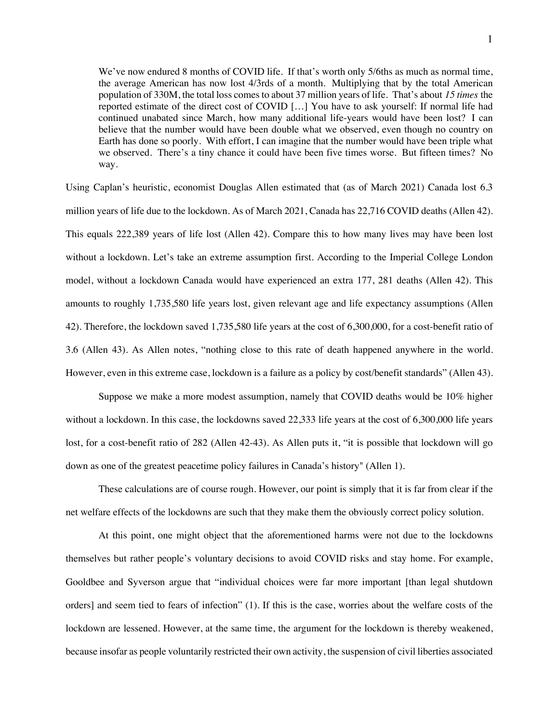We've now endured 8 months of COVID life. If that's worth only 5/6ths as much as normal time, the average American has now lost 4/3rds of a month. Multiplying that by the total American population of 330M, the total loss comes to about 37 million years of life. That's about *15 times* the reported estimate of the direct cost of COVID […] You have to ask yourself: If normal life had continued unabated since March, how many additional life-years would have been lost? I can believe that the number would have been double what we observed, even though no country on Earth has done so poorly. With effort, I can imagine that the number would have been triple what we observed. There's a tiny chance it could have been five times worse. But fifteen times? No way.

Using Caplan's heuristic, economist Douglas Allen estimated that (as of March 2021) Canada lost 6.3 million years of life due to the lockdown. As of March 2021, Canada has 22,716 COVID deaths (Allen 42). This equals 222,389 years of life lost (Allen 42). Compare this to how many lives may have been lost without a lockdown. Let's take an extreme assumption first. According to the Imperial College London model, without a lockdown Canada would have experienced an extra 177, 281 deaths (Allen 42). This amounts to roughly 1,735,580 life years lost, given relevant age and life expectancy assumptions (Allen 42). Therefore, the lockdown saved 1,735,580 life years at the cost of 6,300,000, for a cost-benefit ratio of 3.6 (Allen 43). As Allen notes, "nothing close to this rate of death happened anywhere in the world. However, even in this extreme case, lockdown is a failure as a policy by cost/benefit standards" (Allen 43).

Suppose we make a more modest assumption, namely that COVID deaths would be 10% higher without a lockdown. In this case, the lockdowns saved 22,333 life years at the cost of 6,300,000 life years lost, for a cost-benefit ratio of 282 (Allen 42-43). As Allen puts it, "it is possible that lockdown will go down as one of the greatest peacetime policy failures in Canada's history" (Allen 1).

These calculations are of course rough. However, our point is simply that it is far from clear if the net welfare effects of the lockdowns are such that they make them the obviously correct policy solution.

At this point, one might object that the aforementioned harms were not due to the lockdowns themselves but rather people's voluntary decisions to avoid COVID risks and stay home. For example, Gooldbee and Syverson argue that "individual choices were far more important [than legal shutdown orders] and seem tied to fears of infection" (1). If this is the case, worries about the welfare costs of the lockdown are lessened. However, at the same time, the argument for the lockdown is thereby weakened, because insofar as people voluntarily restricted their own activity, the suspension of civil liberties associated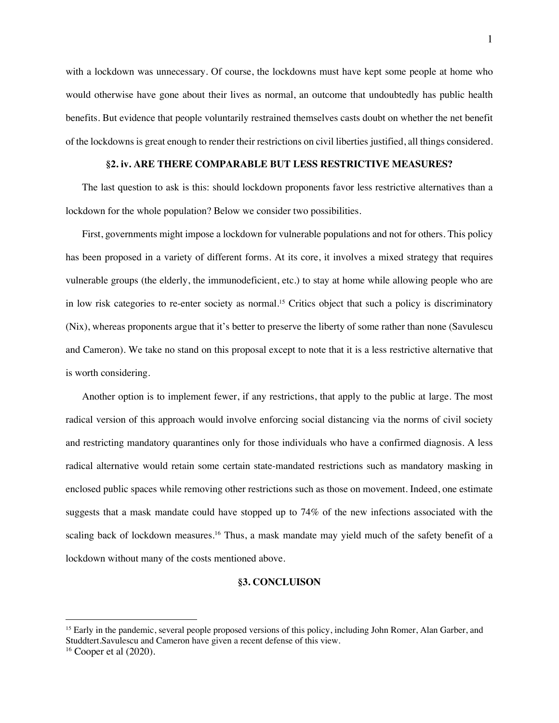with a lockdown was unnecessary. Of course, the lockdowns must have kept some people at home who would otherwise have gone about their lives as normal, an outcome that undoubtedly has public health benefits. But evidence that people voluntarily restrained themselves casts doubt on whether the net benefit of the lockdowns is great enough to render their restrictions on civil liberties justified, all things considered.

### **§2. iv. ARE THERE COMPARABLE BUT LESS RESTRICTIVE MEASURES?**

The last question to ask is this: should lockdown proponents favor less restrictive alternatives than a lockdown for the whole population? Below we consider two possibilities.

First, governments might impose a lockdown for vulnerable populations and not for others. This policy has been proposed in a variety of different forms. At its core, it involves a mixed strategy that requires vulnerable groups (the elderly, the immunodeficient, etc.) to stay at home while allowing people who are in low risk categories to re-enter society as normal.<sup>15</sup> Critics object that such a policy is discriminatory (Nix), whereas proponents argue that it's better to preserve the liberty of some rather than none (Savulescu and Cameron). We take no stand on this proposal except to note that it is a less restrictive alternative that is worth considering.

Another option is to implement fewer, if any restrictions, that apply to the public at large. The most radical version of this approach would involve enforcing social distancing via the norms of civil society and restricting mandatory quarantines only for those individuals who have a confirmed diagnosis. A less radical alternative would retain some certain state-mandated restrictions such as mandatory masking in enclosed public spaces while removing other restrictions such as those on movement. Indeed, one estimate suggests that a mask mandate could have stopped up to 74% of the new infections associated with the scaling back of lockdown measures.<sup>16</sup> Thus, a mask mandate may yield much of the safety benefit of a lockdown without many of the costs mentioned above.

### **§3. CONCLUISON**

<sup>&</sup>lt;sup>15</sup> Early in the pandemic, several people proposed versions of this policy, including John Romer, Alan Garber, and Studdtert.Savulescu and Cameron have given a recent defense of this view.

<sup>16</sup> Cooper et al (2020).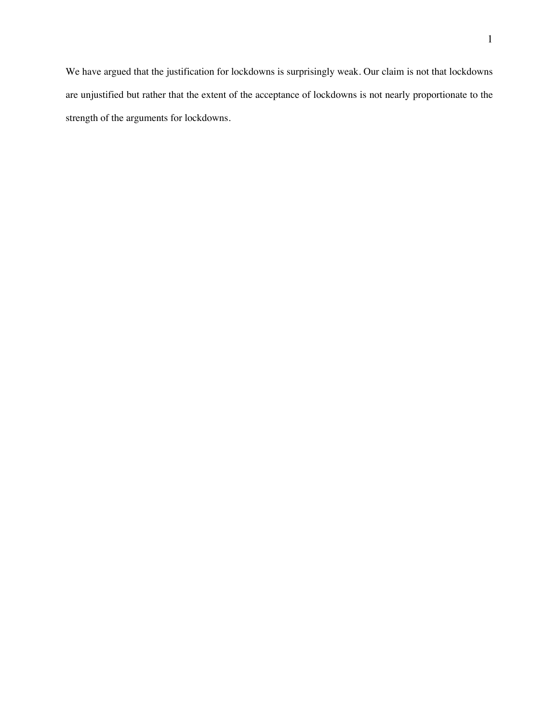We have argued that the justification for lockdowns is surprisingly weak. Our claim is not that lockdowns are unjustified but rather that the extent of the acceptance of lockdowns is not nearly proportionate to the strength of the arguments for lockdowns.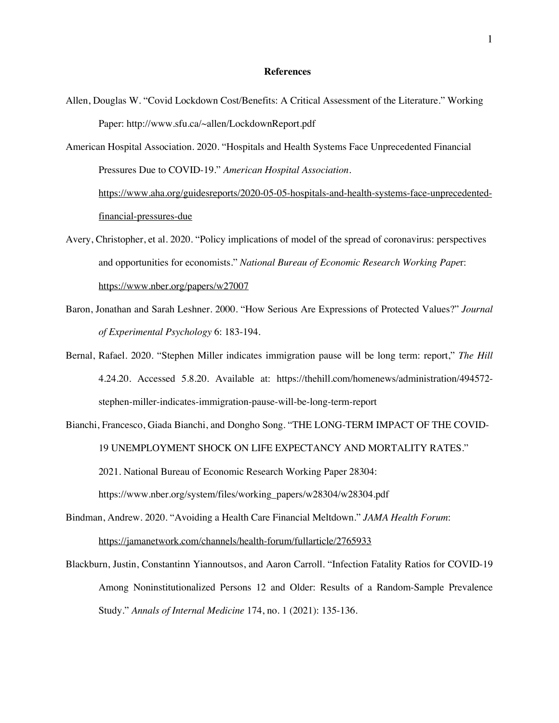#### **References**

- Allen, Douglas W. "Covid Lockdown Cost/Benefits: A Critical Assessment of the Literature." Working Paper: http://www.sfu.ca/~allen/LockdownReport.pdf
- American Hospital Association. 2020. "Hospitals and Health Systems Face Unprecedented Financial Pressures Due to COVID-19." *American Hospital Association*. https://www.aha.org/guidesreports/2020-05-05-hospitals-and-health-systems-face-unprecedentedfinancial-pressures-due
- Avery, Christopher, et al. 2020. "Policy implications of model of the spread of coronavirus: perspectives and opportunities for economists." *National Bureau of Economic Research Working Pape*r: https://www.nber.org/papers/w27007
- Baron, Jonathan and Sarah Leshner. 2000. "How Serious Are Expressions of Protected Values?" *Journal of Experimental Psychology* 6: 183-194.
- Bernal, Rafael. 2020. "Stephen Miller indicates immigration pause will be long term: report," *The Hill*  4.24.20. Accessed 5.8.20. Available at: https://thehill.com/homenews/administration/494572 stephen-miller-indicates-immigration-pause-will-be-long-term-report
- Bianchi, Francesco, Giada Bianchi, and Dongho Song. "THE LONG-TERM IMPACT OF THE COVID-19 UNEMPLOYMENT SHOCK ON LIFE EXPECTANCY AND MORTALITY RATES." 2021. National Bureau of Economic Research Working Paper 28304: https://www.nber.org/system/files/working\_papers/w28304/w28304.pdf
- Bindman, Andrew. 2020. "Avoiding a Health Care Financial Meltdown." *JAMA Health Forum*: https://jamanetwork.com/channels/health-forum/fullarticle/2765933
- Blackburn, Justin, Constantinn Yiannoutsos, and Aaron Carroll. "Infection Fatality Ratios for COVID-19 Among Noninstitutionalized Persons 12 and Older: Results of a Random-Sample Prevalence Study." *Annals of Internal Medicine* 174, no. 1 (2021): 135-136.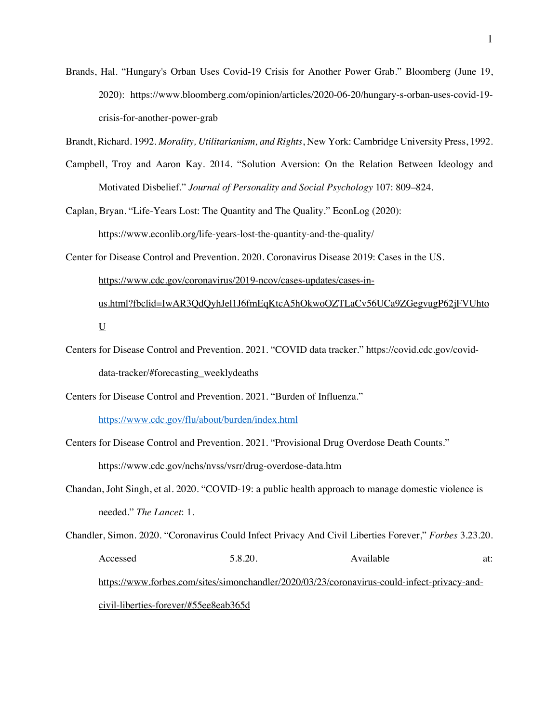Brands, Hal. "Hungary's Orban Uses Covid-19 Crisis for Another Power Grab." Bloomberg (June 19, 2020): https://www.bloomberg.com/opinion/articles/2020-06-20/hungary-s-orban-uses-covid-19 crisis-for-another-power-grab

Brandt, Richard. 1992. *Morality, Utilitarianism, and Rights*, New York: Cambridge University Press, 1992.

- Campbell, Troy and Aaron Kay. 2014. "Solution Aversion: On the Relation Between Ideology and Motivated Disbelief." *Journal of Personality and Social Psychology* 107: 809–824.
- Caplan, Bryan. "Life-Years Lost: The Quantity and The Quality." EconLog (2020): https://www.econlib.org/life-years-lost-the-quantity-and-the-quality/
- Center for Disease Control and Prevention. 2020. Coronavirus Disease 2019: Cases in the US. https://www.cdc.gov/coronavirus/2019-ncov/cases-updates/cases-inus.html?fbclid=IwAR3QdQyhJel1J6fmEqKtcA5hOkwoOZTLaCv56UCa9ZGegvugP62jFVUhto U
- Centers for Disease Control and Prevention. 2021. "COVID data tracker." https://covid.cdc.gov/coviddata-tracker/#forecasting\_weeklydeaths
- Centers for Disease Control and Prevention. 2021. "Burden of Influenza."

https://www.cdc.gov/flu/about/burden/index.html

- Centers for Disease Control and Prevention. 2021. "Provisional Drug Overdose Death Counts." https://www.cdc.gov/nchs/nvss/vsrr/drug-overdose-data.htm
- Chandan, Joht Singh, et al. 2020. "COVID-19: a public health approach to manage domestic violence is needed." *The Lancet*: 1.
- Chandler, Simon. 2020. "Coronavirus Could Infect Privacy And Civil Liberties Forever," *Forbes* 3.23.20. Accessed 5.8.20. Available at: https://www.forbes.com/sites/simonchandler/2020/03/23/coronavirus-could-infect-privacy-andcivil-liberties-forever/#55ee8eab365d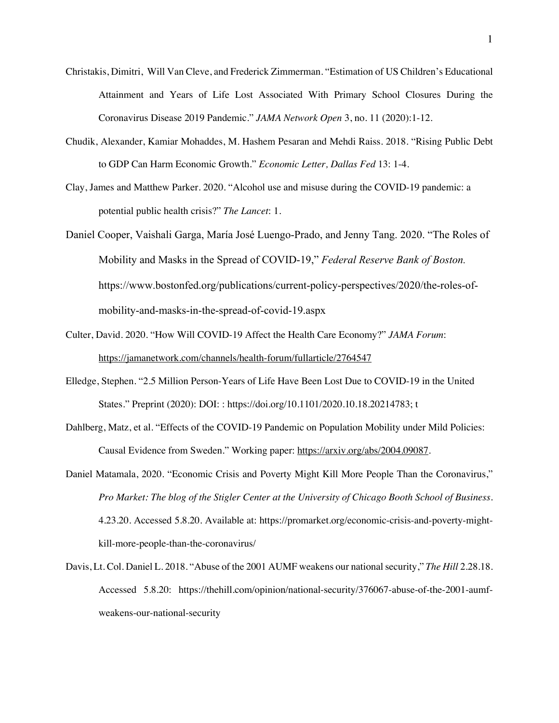- Christakis, Dimitri, Will Van Cleve, and Frederick Zimmerman. "Estimation of US Children's Educational Attainment and Years of Life Lost Associated With Primary School Closures During the Coronavirus Disease 2019 Pandemic." *JAMA Network Open* 3, no. 11 (2020):1-12.
- Chudik, Alexander, Kamiar Mohaddes, M. Hashem Pesaran and Mehdi Raiss. 2018. "Rising Public Debt to GDP Can Harm Economic Growth." *Economic Letter, Dallas Fed* 13: 1-4.
- Clay, James and Matthew Parker. 2020. "Alcohol use and misuse during the COVID-19 pandemic: a potential public health crisis?" *The Lancet*: 1.
- Daniel Cooper, Vaishali Garga, María José Luengo-Prado, and Jenny Tang. 2020. "The Roles of Mobility and Masks in the Spread of COVID-19," *Federal Reserve Bank of Boston.*  https://www.bostonfed.org/publications/current-policy-perspectives/2020/the-roles-ofmobility-and-masks-in-the-spread-of-covid-19.aspx
- Culter, David. 2020. "How Will COVID-19 Affect the Health Care Economy?" *JAMA Forum*: https://jamanetwork.com/channels/health-forum/fullarticle/2764547
- Elledge, Stephen. "2.5 Million Person-Years of Life Have Been Lost Due to COVID-19 in the United States." Preprint (2020): DOI: : https://doi.org/10.1101/2020.10.18.20214783; t
- Dahlberg, Matz, et al. "Effects of the COVID-19 Pandemic on Population Mobility under Mild Policies: Causal Evidence from Sweden." Working paper: https://arxiv.org/abs/2004.09087.
- Daniel Matamala, 2020. "Economic Crisis and Poverty Might Kill More People Than the Coronavirus," *Pro Market: The blog of the Stigler Center at the University of Chicago Booth School of Business.*  4.23.20. Accessed 5.8.20. Available at: https://promarket.org/economic-crisis-and-poverty-mightkill-more-people-than-the-coronavirus/
- Davis, Lt. Col. Daniel L. 2018. "Abuse of the 2001 AUMF weakens our national security," *The Hill* 2.28.18. Accessed 5.8.20: https://thehill.com/opinion/national-security/376067-abuse-of-the-2001-aumfweakens-our-national-security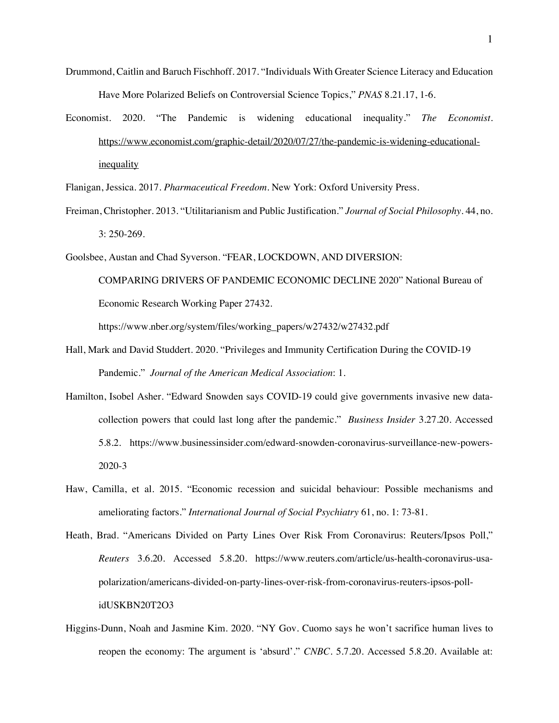- Drummond, Caitlin and Baruch Fischhoff. 2017. "Individuals With Greater Science Literacy and Education Have More Polarized Beliefs on Controversial Science Topics," *PNAS* 8.21.17, 1-6.
- Economist. 2020. "The Pandemic is widening educational inequality." *The Economist*. https://www.economist.com/graphic-detail/2020/07/27/the-pandemic-is-widening-educationalinequality
- Flanigan, Jessica. 2017. *Pharmaceutical Freedom*. New York: Oxford University Press.
- Freiman, Christopher. 2013. "Utilitarianism and Public Justification." *Journal of Social Philosophy*. 44, no. 3: 250-269.
- Goolsbee, Austan and Chad Syverson. "FEAR, LOCKDOWN, AND DIVERSION:
	- COMPARING DRIVERS OF PANDEMIC ECONOMIC DECLINE 2020" National Bureau of Economic Research Working Paper 27432.

https://www.nber.org/system/files/working\_papers/w27432/w27432.pdf

- Hall, Mark and David Studdert. 2020. "Privileges and Immunity Certification During the COVID-19 Pandemic." *Journal of the American Medical Association*: 1.
- Hamilton, Isobel Asher. "Edward Snowden says COVID-19 could give governments invasive new datacollection powers that could last long after the pandemic." *Business Insider* 3.27.20. Accessed 5.8.2. https://www.businessinsider.com/edward-snowden-coronavirus-surveillance-new-powers-2020-3
- Haw, Camilla, et al. 2015. "Economic recession and suicidal behaviour: Possible mechanisms and ameliorating factors." *International Journal of Social Psychiatry* 61, no. 1: 73-81.
- Heath, Brad. "Americans Divided on Party Lines Over Risk From Coronavirus: Reuters/Ipsos Poll," *Reuters* 3.6.20. Accessed 5.8.20. https://www.reuters.com/article/us-health-coronavirus-usapolarization/americans-divided-on-party-lines-over-risk-from-coronavirus-reuters-ipsos-pollidUSKBN20T2O3
- Higgins-Dunn, Noah and Jasmine Kim. 2020. "NY Gov. Cuomo says he won't sacrifice human lives to reopen the economy: The argument is 'absurd'." *CNBC*. 5.7.20. Accessed 5.8.20. Available at: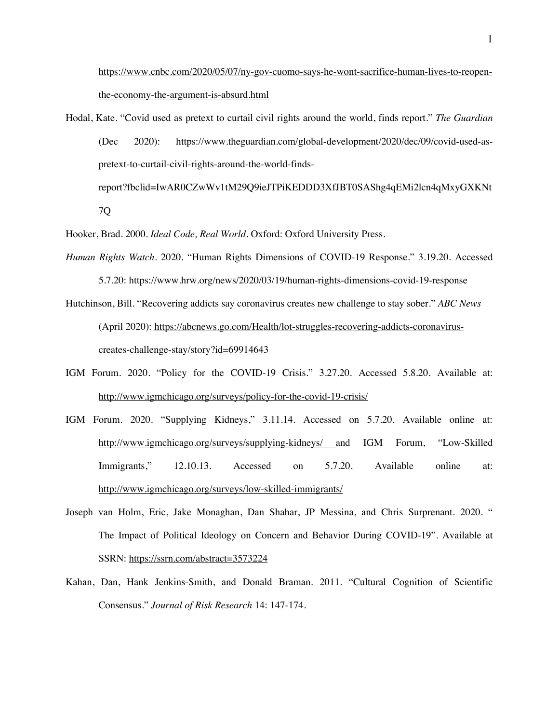https://www.cnbc.com/2020/05/07/ny-gov-cuomo-says-he-wont-sacrifice-human-lives-to-reopenthe-economy-the-argument-is-absurd.html

Hodal, Kate. "Covid used as pretext to curtail civil rights around the world, finds report." *The Guardian* (Dec 2020): https://www.theguardian.com/global-development/2020/dec/09/covid-used-aspretext-to-curtail-civil-rights-around-the-world-findsreport?fbclid=IwAR0CZwWv1tM29Q9ieJTPiKEDDD3XfJBT0SAShg4qEMi2lcn4qMxyGXKNt

7Q

- Hooker, Brad. 2000. *Ideal Code, Real World.* Oxford: Oxford University Press.
- *Human Rights Watch*. 2020. "Human Rights Dimensions of COVID-19 Response." 3.19.20. Accessed 5.7.20: https://www.hrw.org/news/2020/03/19/human-rights-dimensions-covid-19-response
- Hutchinson, Bill. "Recovering addicts say coronavirus creates new challenge to stay sober." *ABC News* (April 2020): https://abcnews.go.com/Health/lot-struggles-recovering-addicts-coronaviruscreates-challenge-stay/story?id=69914643
- IGM Forum. 2020. "Policy for the COVID-19 Crisis." 3.27.20. Accessed 5.8.20. Available at: http://www.igmchicago.org/surveys/policy-for-the-covid-19-crisis/
- IGM Forum. 2020. "Supplying Kidneys," 3.11.14. Accessed on 5.7.20. Available online at: http://www.igmchicago.org/surveys/supplying-kidneys/ and IGM Forum, "Low-Skilled Immigrants," 12.10.13. Accessed on 5.7.20. Available online at: http://www.igmchicago.org/surveys/low-skilled-immigrants/
- Joseph van Holm, Eric, Jake Monaghan, Dan Shahar, JP Messina, and Chris Surprenant. 2020. " The Impact of Political Ideology on Concern and Behavior During COVID-19". Available at SSRN: https://ssrn.com/abstract=3573224
- Kahan, Dan, Hank Jenkins-Smith, and Donald Braman. 2011. "Cultural Cognition of Scientific Consensus." *Journal of Risk Research* 14: 147-174.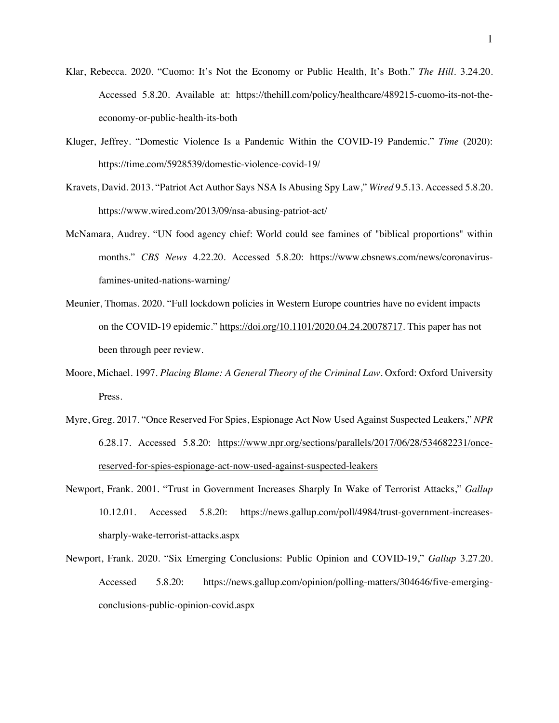- Klar, Rebecca. 2020. "Cuomo: It's Not the Economy or Public Health, It's Both." *The Hill*. 3.24.20. Accessed 5.8.20. Available at: https://thehill.com/policy/healthcare/489215-cuomo-its-not-theeconomy-or-public-health-its-both
- Kluger, Jeffrey. "Domestic Violence Is a Pandemic Within the COVID-19 Pandemic." *Time* (2020): https://time.com/5928539/domestic-violence-covid-19/
- Kravets, David. 2013. "Patriot Act Author Says NSA Is Abusing Spy Law," *Wired* 9.5.13. Accessed 5.8.20. https://www.wired.com/2013/09/nsa-abusing-patriot-act/
- McNamara, Audrey. "UN food agency chief: World could see famines of "biblical proportions" within months." *CBS News* 4.22.20. Accessed 5.8.20: https://www.cbsnews.com/news/coronavirusfamines-united-nations-warning/
- Meunier, Thomas. 2020. "Full lockdown policies in Western Europe countries have no evident impacts on the COVID-19 epidemic." https://doi.org/10.1101/2020.04.24.20078717. This paper has not been through peer review.
- Moore, Michael. 1997. *Placing Blame: A General Theory of the Criminal Law*. Oxford: Oxford University Press.
- Myre, Greg. 2017. "Once Reserved For Spies, Espionage Act Now Used Against Suspected Leakers," *NPR*  6.28.17. Accessed 5.8.20: https://www.npr.org/sections/parallels/2017/06/28/534682231/oncereserved-for-spies-espionage-act-now-used-against-suspected-leakers
- Newport, Frank. 2001. "Trust in Government Increases Sharply In Wake of Terrorist Attacks," *Gallup*  10.12.01. Accessed 5.8.20: https://news.gallup.com/poll/4984/trust-government-increasessharply-wake-terrorist-attacks.aspx
- Newport, Frank. 2020. "Six Emerging Conclusions: Public Opinion and COVID-19," *Gallup* 3.27.20. Accessed 5.8.20: https://news.gallup.com/opinion/polling-matters/304646/five-emergingconclusions-public-opinion-covid.aspx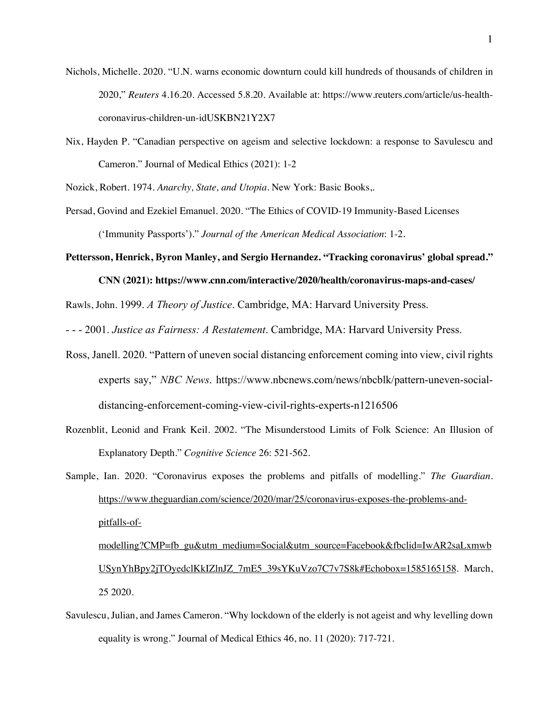- Nichols, Michelle. 2020. "U.N. warns economic downturn could kill hundreds of thousands of children in 2020," *Reuters* 4.16.20. Accessed 5.8.20. Available at: https://www.reuters.com/article/us-healthcoronavirus-children-un-idUSKBN21Y2X7
- Nix, Hayden P. "Canadian perspective on ageism and selective lockdown: a response to Savulescu and Cameron." Journal of Medical Ethics (2021): 1-2
- Nozick, Robert. 1974. *Anarchy, State, and Utopia*. New York: Basic Books,.
- Persad, Govind and Ezekiel Emanuel. 2020. "The Ethics of COVID-19 Immunity-Based Licenses ('Immunity Passports')." *Journal of the American Medical Association*: 1-2.

**Pettersson, Henrick, Byron Manley, and Sergio Hernandez. "Tracking coronavirus' global spread."** 

**CNN (2021): https://www.cnn.com/interactive/2020/health/coronavirus-maps-and-cases/**

Rawls, John. 1999. *A Theory of Justice*. Cambridge, MA: Harvard University Press.

- - - 2001. *Justice as Fairness: A Restatement*. Cambridge, MA: Harvard University Press.

- Ross, Janell. 2020. "Pattern of uneven social distancing enforcement coming into view, civil rights experts say," *NBC News*. https://www.nbcnews.com/news/nbcblk/pattern-uneven-socialdistancing-enforcement-coming-view-civil-rights-experts-n1216506
- Rozenblit, Leonid and Frank Keil. 2002. "The Misunderstood Limits of Folk Science: An Illusion of Explanatory Depth." *Cognitive Science* 26: 521-562.
- Sample, Ian. 2020. "Coronavirus exposes the problems and pitfalls of modelling." *The Guardian*. https://www.theguardian.com/science/2020/mar/25/coronavirus-exposes-the-problems-andpitfalls-ofmodelling?CMP=fb\_gu&utm\_medium=Social&utm\_source=Facebook&fbclid=IwAR2saLxmwb

USynYhBpy2jTOyedclKkIZlnJZ\_7mE5\_39sYKuVzo7C7v7S8k#Echobox=1585165158. March, 25 2020.

Savulescu, Julian, and James Cameron. "Why lockdown of the elderly is not ageist and why levelling down equality is wrong." Journal of Medical Ethics 46, no. 11 (2020): 717-721.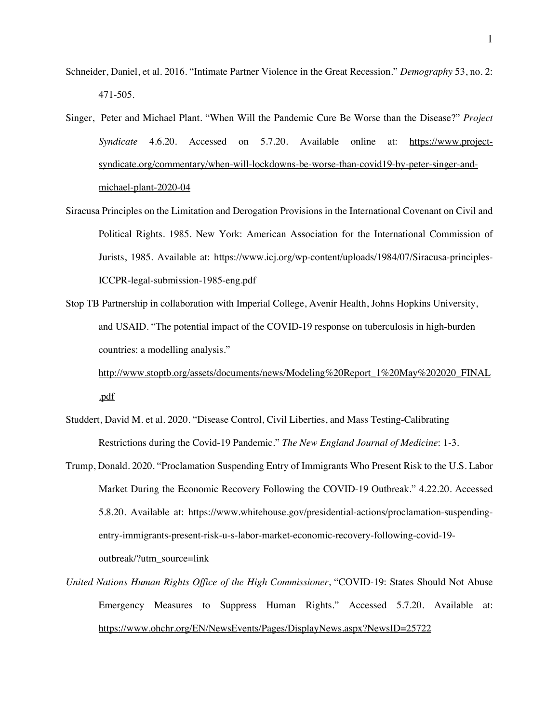- Schneider, Daniel, et al. 2016. "Intimate Partner Violence in the Great Recession." *Demography* 53, no. 2: 471-505.
- Singer, Peter and Michael Plant. "When Will the Pandemic Cure Be Worse than the Disease?" *Project Syndicate* 4.6.20. Accessed on 5.7.20. Available online at: https://www.projectsyndicate.org/commentary/when-will-lockdowns-be-worse-than-covid19-by-peter-singer-andmichael-plant-2020-04
- Siracusa Principles on the Limitation and Derogation Provisions in the International Covenant on Civil and Political Rights. 1985. New York: American Association for the International Commission of Jurists, 1985. Available at: https://www.icj.org/wp-content/uploads/1984/07/Siracusa-principles-ICCPR-legal-submission-1985-eng.pdf
- Stop TB Partnership in collaboration with Imperial College, Avenir Health, Johns Hopkins University, and USAID. "The potential impact of the COVID-19 response on tuberculosis in high-burden countries: a modelling analysis."

http://www.stoptb.org/assets/documents/news/Modeling%20Report\_1%20May%202020\_FINAL .pdf

- Studdert, David M. et al. 2020. "Disease Control, Civil Liberties, and Mass Testing-Calibrating Restrictions during the Covid-19 Pandemic." *The New England Journal of Medicine*: 1-3.
- Trump, Donald. 2020. "Proclamation Suspending Entry of Immigrants Who Present Risk to the U.S. Labor Market During the Economic Recovery Following the COVID-19 Outbreak." 4.22.20. Accessed 5.8.20. Available at: https://www.whitehouse.gov/presidential-actions/proclamation-suspendingentry-immigrants-present-risk-u-s-labor-market-economic-recovery-following-covid-19 outbreak/?utm\_source=link
- *United Nations Human Rights Office of the High Commissioner*, "COVID-19: States Should Not Abuse Emergency Measures to Suppress Human Rights." Accessed 5.7.20. Available at: https://www.ohchr.org/EN/NewsEvents/Pages/DisplayNews.aspx?NewsID=25722